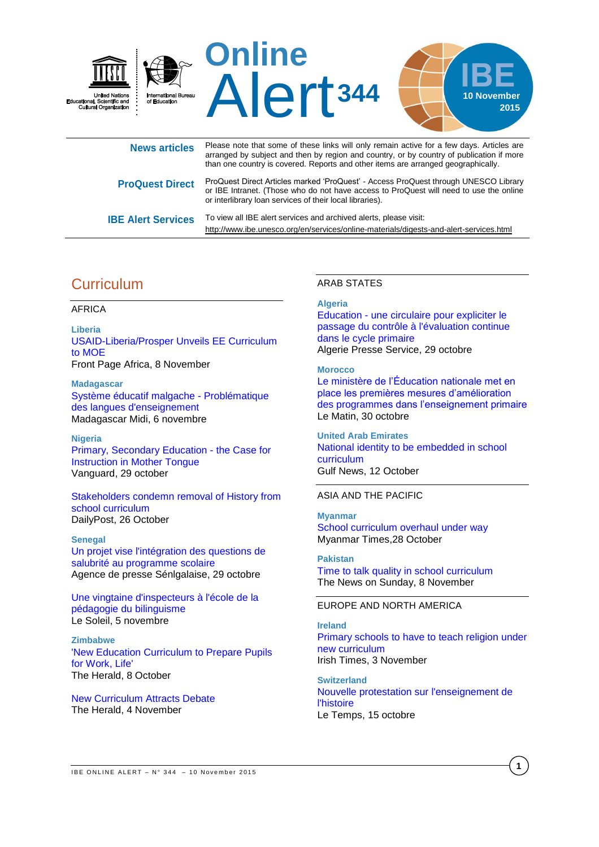

| .                         | arranged by subject and then by region and country, or by country of publication if more<br>than one country is covered. Reports and other items are arranged geographically.                                                             |
|---------------------------|-------------------------------------------------------------------------------------------------------------------------------------------------------------------------------------------------------------------------------------------|
| <b>ProQuest Direct</b>    | ProQuest Direct Articles marked 'ProQuest' - Access ProQuest through UNESCO Library<br>or IBE Intranet. (Those who do not have access to ProQuest will need to use the online<br>or interlibrary loan services of their local libraries). |
| <b>IBE Alert Services</b> | To view all IBE alert services and archived alerts, please visit:<br>http://www.ibe.unesco.org/en/services/online-materials/digests-and-alert-services.html                                                                               |

# **Curriculum**

# AFRICA

**Liberia**  [USAID-Liberia/Prosper Unveils EE Curriculum](http://allafrica.com/stories/201511091499.html)  [to MOE](http://allafrica.com/stories/201511091499.html) Front Page Africa, 8 November

**Madagascar**  [Système éducatif malgache - Problématique](http://fr.allafrica.com/stories/201511060576.html)  [des langues d'enseignement](http://fr.allafrica.com/stories/201511060576.html) Madagascar Midi, 6 novembre

#### **Nigeria**

[Primary, Secondary Education - the Case for](http://allafrica.com/stories/201510300051.html)  [Instruction in Mother Tongue](http://allafrica.com/stories/201510300051.html) Vanguard, 29 october

[Stakeholders condemn removal of History from](http://dailypost.ng/2015/10/26/stakeholders-condemn-removal-of-history-from-school-curriculum/)  [school curriculum](http://dailypost.ng/2015/10/26/stakeholders-condemn-removal-of-history-from-school-curriculum/)  DailyPost, 26 October

#### **Senegal**

[Un projet vise l'intégration des questions de](http://fr.allafrica.com/stories/201510292139.html)  [salubrité au programme scolaire](http://fr.allafrica.com/stories/201510292139.html) Agence de presse Sénlgalaise, 29 octobre

[Une vingtaine d'inspecteurs à l'école de la](http://fr.allafrica.com/stories/201511051983.html)  [pédagogie du bilinguisme](http://fr.allafrica.com/stories/201511051983.html) Le Soleil, 5 novembre

**Zimbabwe**  ['New Education Curriculum to Prepare Pupils](http://allafrica.com/stories/201510080015.html)  [for Work, Life'](http://allafrica.com/stories/201510080015.html) The Herald, 8 October

[New Curriculum Attracts Debate](http://allafrica.com/stories/201511040911.html) The Herald, 4 November

#### ARAB STATES

#### **Algeria**

[Education - une circulaire pour expliciter le](http://fr.allafrica.com/stories/201510292172.html)  [passage du contrôle à l'évaluation continue](http://fr.allafrica.com/stories/201510292172.html)  [dans le cycle primaire](http://fr.allafrica.com/stories/201510292172.html) Algerie Presse Service, 29 octobre

#### **Morocco**

[Le ministère de l'Éducation nationale met en](http://lematin.ma/journal/2015/le-ministere-de-l-education-nationale-met-en-place-les-premieres-mesures-d-amelioration-des-programmes-dans-l-enseignement-primaire/234574.html)  [place les premières mesures d'amélioration](http://lematin.ma/journal/2015/le-ministere-de-l-education-nationale-met-en-place-les-premieres-mesures-d-amelioration-des-programmes-dans-l-enseignement-primaire/234574.html)  [des programmes dans l'enseignement primaire](http://lematin.ma/journal/2015/le-ministere-de-l-education-nationale-met-en-place-les-premieres-mesures-d-amelioration-des-programmes-dans-l-enseignement-primaire/234574.html) Le Matin, 30 octobre

#### **United Arab Emirates**

[National identity to be embedded in school](http://gulfnews.com/news/uae/education/national-identity-to-be-embedded-in-school-curriculum-1.1599646)  [curriculum](http://gulfnews.com/news/uae/education/national-identity-to-be-embedded-in-school-curriculum-1.1599646) Gulf News, 12 October

ASIA AND THE PACIFIC

# **Myanmar**

[School curriculum overhaul under way](http://www.mmtimes.com/index.php/national-news/17238-school-curriculum-overhaul-under-way.html) Myanmar Times,28 October

**Pakistan** 

[Time to talk quality in school curriculum](http://tns.thenews.com.pk/time-to-talk-quality-in-school-curriculum/#.VkBlE_2FOUk) The News on Sunday, 8 November

# EUROPE AND NORTH AMERICA

#### **Ireland**

[Primary schools to have to teach religion under](http://www.irishtimes.com/news/education/primary-schools-to-have-to-teach-religion-under-new-curriculum-1.2415385)  [new curriculum](http://www.irishtimes.com/news/education/primary-schools-to-have-to-teach-religion-under-new-curriculum-1.2415385) Irish Times, 3 November

**Switzerland**  [Nouvelle protestation sur l'enseignement de](http://www.letemps.ch/suisse/2015/10/15/nouvelle-protestation-enseignement-histoire)  [l'histoire](http://www.letemps.ch/suisse/2015/10/15/nouvelle-protestation-enseignement-histoire) Le Temps, 15 octobre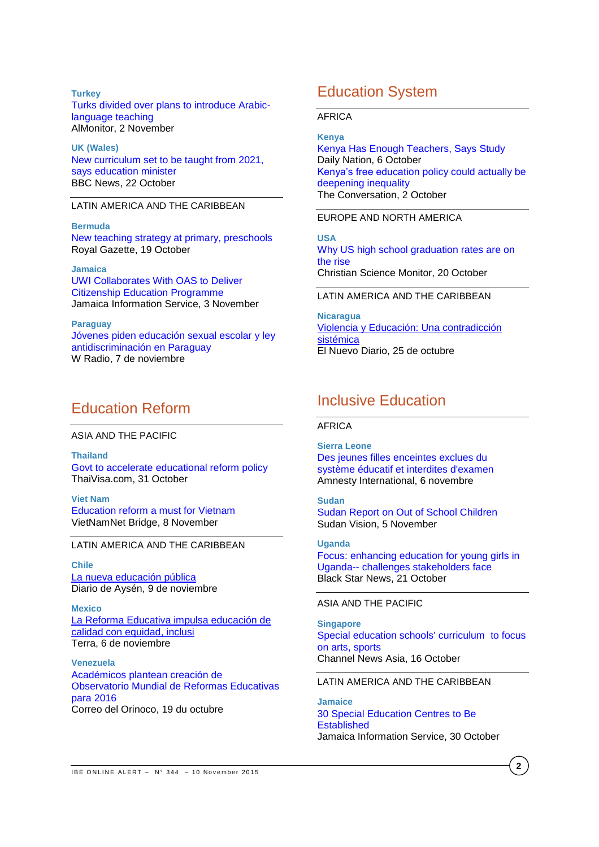#### **Turkey**

[Turks divided over plans to introduce Arabic](http://www.al-monitor.com/pulse/originals/2015/11/turkey-arabic-education-divides-country.html)[language teaching](http://www.al-monitor.com/pulse/originals/2015/11/turkey-arabic-education-divides-country.html) AlMonitor, 2 November

**UK (Wales)** [New curriculum set to be taught from 2021,](http://www.bbc.com/news/uk-wales-34603785)  [says education minister](http://www.bbc.com/news/uk-wales-34603785) BBC News, 22 October

## LATIN AMERICA AND THE CARIBBEAN

**Bermuda** [New teaching strategy at primary, preschools](http://www.royalgazette.com/article/20151019/NEWS05/151019659) Royal Gazette, 19 October

# **Jamaica**

[UWI Collaborates With OAS to Deliver](http://jis.gov.jm/uwi-collaborates-with-oas-to-deliver-citizenship-education-programme/)  [Citizenship Education Programme](http://jis.gov.jm/uwi-collaborates-with-oas-to-deliver-citizenship-education-programme/) Jamaica Information Service, 3 November

**Paraguay** [Jóvenes piden educación sexual escolar y ley](http://www.wradio.com.co/noticias/internacional/jovenes-piden-educacion-sexual-escolar-y-ley-antidiscriminacion-en-paraguay/20151107/nota/2992490.aspx)  [antidiscriminación en Paraguay](http://www.wradio.com.co/noticias/internacional/jovenes-piden-educacion-sexual-escolar-y-ley-antidiscriminacion-en-paraguay/20151107/nota/2992490.aspx) W Radio, 7 de noviembre

# Education Reform

#### ASIA AND THE PACIFIC

**Thailand** Govt to accelerate [educational reform policy](http://news.thaivisa.com/thailand/govt-to-accelerate-educational-reform-policy/119411/) ThaiVisa.com, 31 October

**Viet Nam** [Education reform a must for Vietnam](http://english.vietnamnet.vn/fms/education/145766/education-reform-a-must-for-vietnam.html) VietNamNet Bridge, 8 November

#### LATIN AMERICA AND THE CARIBBEAN

**Chile** [La nueva educación pública](http://www.diarioaysen.cl/sitio/2015/11/09/la-nueva-educacion-publica/) Diario de Aysén, 9 de noviembre

**Mexico** [La Reforma Educativa impulsa educación de](http://noticias.terra.com/la-reforma-educativa-impulsa-educacion-de-calidad-con-equidad-inclusi,185e1c8ed583179e2297b613eaef3c23t4sl3v8s.html)  [calidad con equidad, inclusi](http://noticias.terra.com/la-reforma-educativa-impulsa-educacion-de-calidad-con-equidad-inclusi,185e1c8ed583179e2297b613eaef3c23t4sl3v8s.html) Terra, 6 de noviembre

**Venezuela** [Académicos plantean creación de](http://www.correodelorinoco.gob.ve/eduacion-venezuela-categorias/academicos-plantean-creacion-observatorio-mundial-reformas-educativas-para-2016/)  [Observatorio Mundial de Reformas Educativas](http://www.correodelorinoco.gob.ve/eduacion-venezuela-categorias/academicos-plantean-creacion-observatorio-mundial-reformas-educativas-para-2016/)  [para 2016](http://www.correodelorinoco.gob.ve/eduacion-venezuela-categorias/academicos-plantean-creacion-observatorio-mundial-reformas-educativas-para-2016/) Correo del Orinoco, 19 du octubre

# Education System

#### AFRICA

#### **Kenya**

[Kenya Has Enough Teachers, Says Study](http://allafrica.com/stories/201510070088.html) Daily Nation, 6 October [Kenya's free education policy could actually be](https://theconversation.com/kenyas-free-education-policy-could-actually-be-deepening-inequality-48355)  [deepening inequality](https://theconversation.com/kenyas-free-education-policy-could-actually-be-deepening-inequality-48355) The Conversation, 2 October

## EUROPE AND NORTH AMERICA

**USA** [Why US high school graduation rates are on](http://www.csmonitor.com/USA/Education/2015/1020/Why-US-high-school-graduation-rates-are-on-the-rise)  [the rise](http://www.csmonitor.com/USA/Education/2015/1020/Why-US-high-school-graduation-rates-are-on-the-rise) Christian Science Monitor, 20 October

#### LATIN AMERICA AND THE CARIBBEAN

**Nicaragua** [Violencia y Educación: Una contradicción](http://www.elnuevodiario.com.ni/opinion/374697-violencia-educacion-contradiccion-sistemica/)  [sistémica](http://www.elnuevodiario.com.ni/opinion/374697-violencia-educacion-contradiccion-sistemica/) El Nuevo Diario, 25 de octubre

# Inclusive Education

#### AFRICA

**Sierra Leone** [Des jeunes filles enceintes exclues du](http://fr.allafrica.com/stories/201511061638.html)  [système éducatif et interdites d'examen](http://fr.allafrica.com/stories/201511061638.html) Amnesty International, 6 novembre

### **Sudan**

[Sudan Report on Out of School Children](http://news.sudanvisiondaily.com/details.html?rsnpid=256327) Sudan Vision, 5 November

**Uganda** [Focus: enhancing education for young girls in](http://www.blackstarnews.com/education/education/focus-enhancing-education-for-young-girls-in-uganda-challenges)  Uganda-- [challenges stakeholders face](http://www.blackstarnews.com/education/education/focus-enhancing-education-for-young-girls-in-uganda-challenges) Black Star News, 21 October

## ASIA AND THE PACIFIC

**Singapore** [Special education schools' curriculum](http://www.channelnewsasia.com/news/singapore/special-education-schools/2197106.html) to focus [on arts, sports](http://www.channelnewsasia.com/news/singapore/special-education-schools/2197106.html) Channel News Asia, 16 October

#### LATIN AMERICA AND THE CARIBBEAN

**Jamaice** [30 Special Education Centres to Be](http://jis.gov.jm/30-special-education-centres-to-be-established/)  **[Established](http://jis.gov.jm/30-special-education-centres-to-be-established/)** Jamaica Information Service, 30 October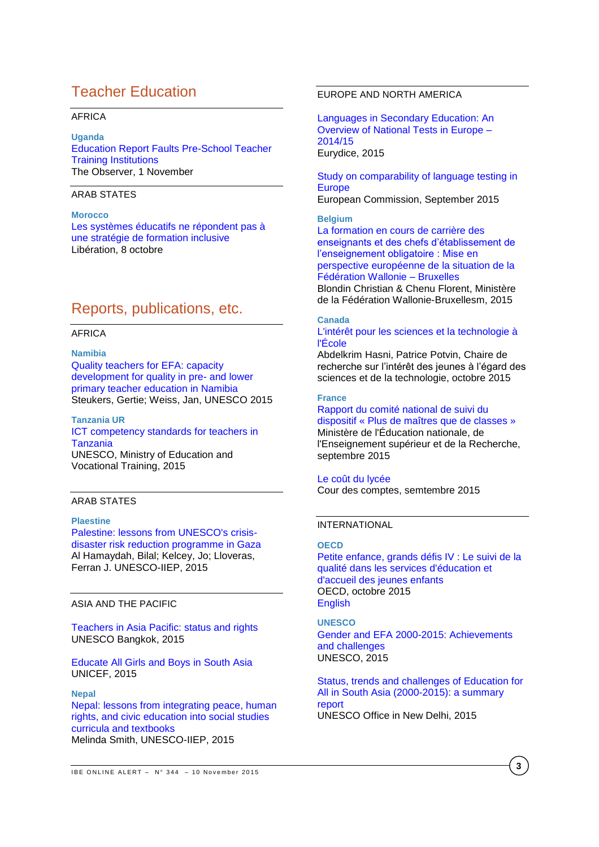# Teacher Education

# AFRICA

# **Uganda**

[Education Report Faults Pre-School Teacher](http://allafrica.com/stories/201511021915.html)  [Training Institutions](http://allafrica.com/stories/201511021915.html) The Observer, 1 November

# ARAB STATES

# **Morocco**

[Les systèmes éducatifs ne répondent pas à](http://fr.allafrica.com/stories/201510072152.html)  [une stratégie de formation inclusive](http://fr.allafrica.com/stories/201510072152.html) Libération, 8 octobre

# Reports, publications, etc.

#### AFRICA

#### **Namibia**

[Quality teachers for EFA: capacity](http://unesdoc.unesco.org/images/0023/002348/234821e.pdf)  [development for quality in pre-](http://unesdoc.unesco.org/images/0023/002348/234821e.pdf) and lower [primary teacher education in Namibia](http://unesdoc.unesco.org/images/0023/002348/234821e.pdf) Steukers, Gertie; Weiss, Jan, UNESCO 2015

#### **Tanzania UR**

## [ICT competency standards for teachers in](http://unesdoc.unesco.org/images/0023/002348/234822e.pdf)  **[Tanzania](http://unesdoc.unesco.org/images/0023/002348/234822e.pdf)**

UNESCO, Ministry of Education and Vocational Training, 2015

# ARAB STATES

## **Plaestine**

[Palestine: lessons from UNESCO's crisis](http://unesdoc.unesco.org/images/0023/002347/234791e.pdf)[disaster risk reduction programme](http://unesdoc.unesco.org/images/0023/002347/234791e.pdf) in Gaza Al Hamaydah, Bilal; Kelcey, Jo; Lloveras, Ferran J. UNESCO-IIEP, 2015

# ASIA AND THE PACIFIC

[Teachers in Asia Pacific: status and rights](http://unesdoc.unesco.org/images/0023/002347/234756e.pdf) UNESCO Bangkok, 2015

[Educate All Girls and Boys in South Asia](http://www.unicef.org/education/files/EducateAllGirlsandBoys-UNICEF_ROSA.pdf) UNICEF, 2015

#### **Nepal**

[Nepal: lessons from integrating](http://unesdoc.unesco.org/images/0023/002347/234790e.pdf) peace, human [rights, and civic education into social studies](http://unesdoc.unesco.org/images/0023/002347/234790e.pdf)  [curricula and textbooks](http://unesdoc.unesco.org/images/0023/002347/234790e.pdf) Melinda Smith, UNESCO-IIEP, 2015

# EUROPE AND NORTH AMERICA

[Languages in Secondary Education: An](http://eacea.ec.europa.eu/education/eurydice/documents/facts_and_figures/187EN.pdf)  [Overview of National Tests in Europe –](http://eacea.ec.europa.eu/education/eurydice/documents/facts_and_figures/187EN.pdf) [2014/15](http://eacea.ec.europa.eu/education/eurydice/documents/facts_and_figures/187EN.pdf) Eurydice, 2015

[Study on comparability of language testing in](http://ec.europa.eu/languages/library/documents/edl-report_en.pdf)  **[Europe](http://ec.europa.eu/languages/library/documents/edl-report_en.pdf)** European Commission, September 2015

#### **Belgium**

[La formation en cours de carrière des](http://orbi.ulg.ac.be/bitstream/2268/169117/2/La_formation_et_le_developpement_professionnel_des_enseignants.pdf)  [enseignants et des chefs d'établissement de](http://orbi.ulg.ac.be/bitstream/2268/169117/2/La_formation_et_le_developpement_professionnel_des_enseignants.pdf)  [l'enseignement obligatoire : Mise en](http://orbi.ulg.ac.be/bitstream/2268/169117/2/La_formation_et_le_developpement_professionnel_des_enseignants.pdf)  [perspective européenne de la situation de la](http://orbi.ulg.ac.be/bitstream/2268/169117/2/La_formation_et_le_developpement_professionnel_des_enseignants.pdf)  [Fédération Wallonie –](http://orbi.ulg.ac.be/bitstream/2268/169117/2/La_formation_et_le_developpement_professionnel_des_enseignants.pdf) Bruxelles Blondin Christian & Chenu Florent, Ministère de la Fédération Wallonie-Bruxellesm, 2015

# **Canada**

## [L'intérêt pour les sciences et la technologie à](http://www.crijest.org/sites/crijest.org/files/Hasni-Potvin-Rapport-CRIJEST-2015-VF.pdf)  [l'École](http://www.crijest.org/sites/crijest.org/files/Hasni-Potvin-Rapport-CRIJEST-2015-VF.pdf)

Abdelkrim Hasni, Patrice Potvin, Chaire de recherche sur l'intérêt des jeunes à l'égard des sciences et de la technologie, octobre 2015

#### **France**

[Rapport du comité national de suivi du](http://www.ladocumentationfrancaise.fr/var/storage/rapports-publics/154000708.pdf)  [dispositif « Plus de maîtres que de classes »](http://www.ladocumentationfrancaise.fr/var/storage/rapports-publics/154000708.pdf) Ministère de l'Éducation nationale, de l'Enseignement supérieur et de la Recherche, septembre 2015

## [Le coût du lycée](http://www.ladocumentationfrancaise.fr/var/storage/rapports-publics/154000683.pdf)

Cour des comptes, semtembre 2015

# INTERNATIONAL

# **OECD**

[Petite enfance, grands défis IV : Le suivi de la](http://www.oecd-ilibrary.org/education/petite-enfance-grands-defis-iv_9789264246171-fr;jsessionid=2s1oenthije7i.x-oecd-live-03)  [qualité dans les services d'éducation et](http://www.oecd-ilibrary.org/education/petite-enfance-grands-defis-iv_9789264246171-fr;jsessionid=2s1oenthije7i.x-oecd-live-03)  [d'accueil des jeunes enfants](http://www.oecd-ilibrary.org/education/petite-enfance-grands-defis-iv_9789264246171-fr;jsessionid=2s1oenthije7i.x-oecd-live-03) OECD, octobre 2015 [English](http://www.oecd-ilibrary.org/education/starting-strong-iv_9789264233515-en)

## **UNESCO**  [Gender and EFA 2000-2015: Achievements](http://unesdoc.unesco.org/images/0023/002348/234809E.pdf?new)  [and challenges](http://unesdoc.unesco.org/images/0023/002348/234809E.pdf?new) UNESCO, 2015

[Status, trends and challenges of Education for](http://unesdoc.unesco.org/images/0023/002349/234967e.pdf)  [All in South Asia \(2000-2015\): a summary](http://unesdoc.unesco.org/images/0023/002349/234967e.pdf)  [report](http://unesdoc.unesco.org/images/0023/002349/234967e.pdf) UNESCO Office in New Delhi, 2015

**3**